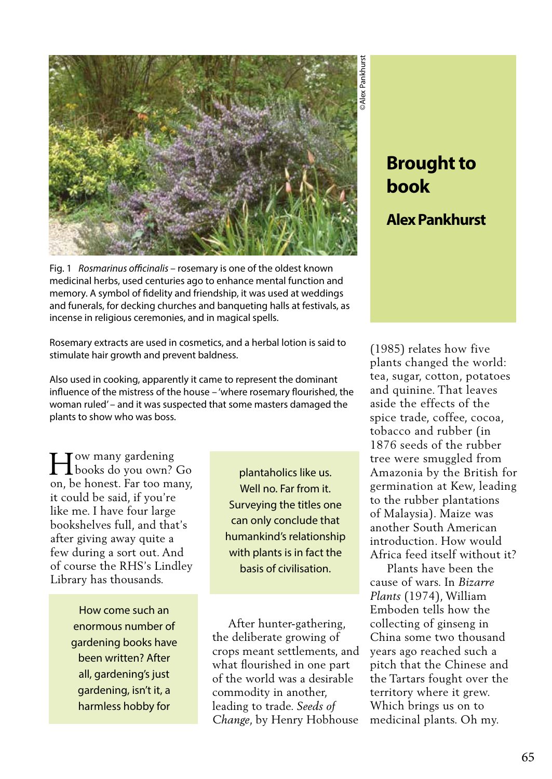

Fig. 1 *Rosmarinus officinalis* – rosemary is one of the oldest known medicinal herbs, used centuries ago to enhance mental function and memory. A symbol of fidelity and friendship, it was used at weddings and funerals, for decking churches and banqueting halls at festivals, as incense in religious ceremonies, and in magical spells.

Rosemary extracts are used in cosmetics, and a herbal lotion is said to stimulate hair growth and prevent baldness.

Also used in cooking, apparently it came to represent the dominant influence of the mistress of the house – 'where rosemary flourished, the woman ruled' – and it was suspected that some masters damaged the plants to show who was boss.

H books do you own? Go ow many gardening on, be honest. Far too many, it could be said, if you're like me. I have four large bookshelves full, and that's after giving away quite a few during a sort out. And of course the RHS's Lindley Library has thousands.

> How come such an enormous number of gardening books have been written? After all, gardening's just gardening, isn't it, a harmless hobby for

plantaholics like us. Well no. Far from it. Surveying the titles one can only conclude that humankind's relationship with plants is in fact the basis of civilisation.

 After hunter-gathering, the deliberate growing of crops meant settlements, and what flourished in one part of the world was a desirable commodity in another, leading to trade. *Seeds of Change*, by Henry Hobhouse

## **Brought to book**

## **Alex Pankhurst**

(1985) relates how five plants changed the world: tea, sugar, cotton, potatoes and quinine. That leaves aside the effects of the spice trade, coffee, cocoa, tobacco and rubber (in 1876 seeds of the rubber tree were smuggled from Amazonia by the British for germination at Kew, leading to the rubber plantations of Malaysia). Maize was another South American introduction. How would Africa feed itself without it?

 Plants have been the cause of wars. In *Bizarre Plants* (1974), William Emboden tells how the collecting of ginseng in China some two thousand years ago reached such a pitch that the Chinese and the Tartars fought over the territory where it grew. Which brings us on to medicinal plants. Oh my.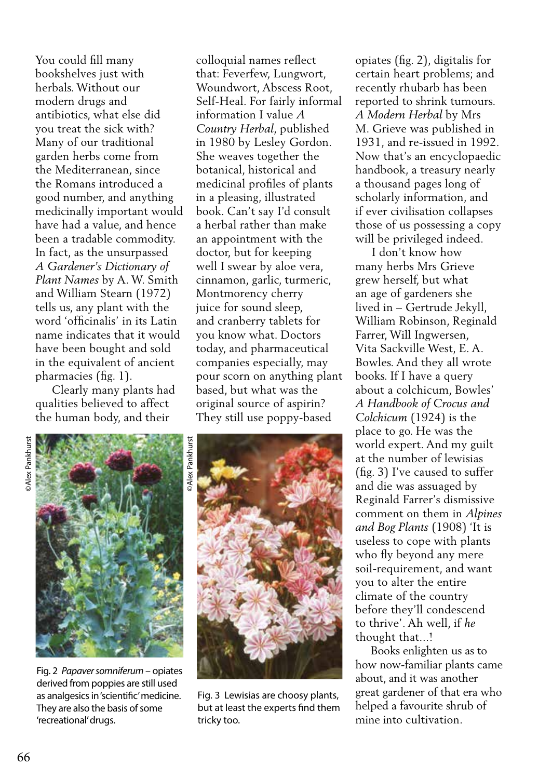You could fill many bookshelves just with herbals. Without our modern drugs and antibiotics, what else did you treat the sick with? Many of our traditional garden herbs come from the Mediterranean, since the Romans introduced a good number, and anything medicinally important would have had a value, and hence been a tradable commodity. In fact, as the unsurpassed *A Gardener's Dictionary of Plant Names* by A. W. Smith and William Stearn (1972) tells us, any plant with the word 'officinalis' in its Latin name indicates that it would have been bought and sold in the equivalent of ancient pharmacies (fig. 1).

 Clearly many plants had qualities believed to affect the human body, and their

colloquial names reflect that: Feverfew, Lungwort, Woundwort, Abscess Root, Self-Heal. For fairly informal information I value *A Country Herbal*, published in 1980 by Lesley Gordon. She weaves together the botanical, historical and medicinal profiles of plants in a pleasing, illustrated book. Can't say I'd consult a herbal rather than make an appointment with the doctor, but for keeping well I swear by aloe vera, cinnamon, garlic, turmeric, Montmorency cherry juice for sound sleep, and cranberry tablets for you know what. Doctors today, and pharmaceutical companies especially, may pour scorn on anything plant based, but what was the original source of aspirin? They still use poppy-based

©Alex Pankhurst *DAlex Pankhurst* 



Fig. 2 *Papaver somniferum* – opiates derived from poppies are still used as analgesics in 'scientific' medicine. They are also the basis of some 'recreational' drugs.



Fig. 3 Lewisias are choosy plants, but at least the experts find them tricky too.

opiates (fig. 2), digitalis for certain heart problems; and recently rhubarb has been reported to shrink tumours. *A Modern Herbal* by Mrs M. Grieve was published in 1931, and re-issued in 1992. Now that's an encyclopaedic handbook, a treasury nearly a thousand pages long of scholarly information, and if ever civilisation collapses those of us possessing a copy will be privileged indeed.

 I don't know how many herbs Mrs Grieve grew herself, but what an age of gardeners she lived in – Gertrude Jekyll, William Robinson, Reginald Farrer, Will Ingwersen, Vita Sackville West, E. A. Bowles. And they all wrote books. If I have a query about a colchicum, Bowles' *A Handbook of Crocus and Colchicum* (1924) is the place to go. He was the world expert. And my guilt at the number of lewisias (fig. 3) I've caused to suffer and die was assuaged by Reginald Farrer's dismissive comment on them in *Alpines and Bog Plants* (1908) 'It is useless to cope with plants who fly beyond any mere soil-requirement, and want you to alter the entire climate of the country before they'll condescend to thrive'. Ah well, if *he* thought that...!

 Books enlighten us as to how now-familiar plants came about, and it was another great gardener of that era who helped a favourite shrub of mine into cultivation.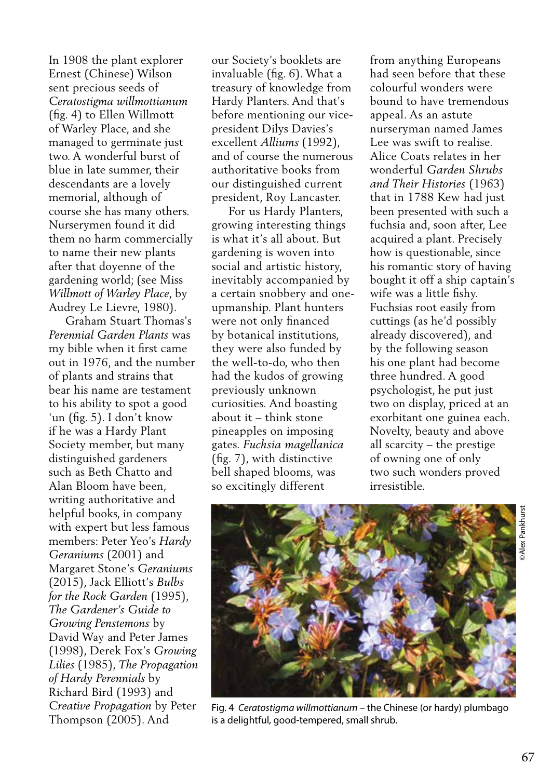In 1908 the plant explorer Ernest (Chinese) Wilson sent precious seeds of *Ceratostigma willmottianum* (fig. 4) to Ellen Willmott of Warley Place, and she managed to germinate just two. A wonderful burst of blue in late summer, their descendants are a lovely memorial, although of course she has many others. Nurserymen found it did them no harm commercially to name their new plants after that doyenne of the gardening world; (see Miss *Willmott of Warley Place*, by Audrey Le Lievre, 1980).

 Graham Stuart Thomas's *Perennial Garden Plants* was my bible when it first came out in 1976, and the number of plants and strains that bear his name are testament to his ability to spot a good 'un (fig. 5). I don't know if he was a Hardy Plant Society member, but many distinguished gardeners such as Beth Chatto and Alan Bloom have been, writing authoritative and helpful books, in company with expert but less famous members: Peter Yeo's *Hardy Geraniums* (2001) and Margaret Stone's *Geraniums*  (2015), Jack Elliott's *Bulbs for the Rock Garden* (1995), *The Gardener's Guide to Growing Penstemons* by David Way and Peter James (1998), Derek Fox's *Growing Lilies* (1985), *The Propagation of Hardy Perennials* by Richard Bird (1993) and *Creative Propagation* by Peter Thompson (2005). And

our Society's booklets are invaluable (fig. 6). What a treasury of knowledge from Hardy Planters. And that's before mentioning our vicepresident Dilys Davies's excellent *Alliums* (1992), and of course the numerous authoritative books from our distinguished current president, Roy Lancaster.

 For us Hardy Planters, growing interesting things is what it's all about. But gardening is woven into social and artistic history, inevitably accompanied by a certain snobbery and oneupmanship. Plant hunters were not only financed by botanical institutions, they were also funded by the well-to-do, who then had the kudos of growing previously unknown curiosities. And boasting about it – think stone pineapples on imposing gates. *Fuchsia magellanica*  (fig. 7), with distinctive bell shaped blooms, was so excitingly different

from anything Europeans had seen before that these colourful wonders were bound to have tremendous appeal. As an astute nurseryman named James Lee was swift to realise. Alice Coats relates in her wonderful *Garden Shrubs and Their Histories* (1963) that in 1788 Kew had just been presented with such a fuchsia and, soon after, Lee acquired a plant. Precisely how is questionable, since his romantic story of having bought it off a ship captain's wife was a little fishy. Fuchsias root easily from cuttings (as he'd possibly already discovered), and by the following season his one plant had become three hundred. A good psychologist, he put just two on display, priced at an exorbitant one guinea each. Novelty, beauty and above all scarcity – the prestige of owning one of only two such wonders proved irresistible.



Fig. 4 *Ceratostigma willmottianum* – the Chinese (or hardy) plumbago is a delightful, good-tempered, small shrub.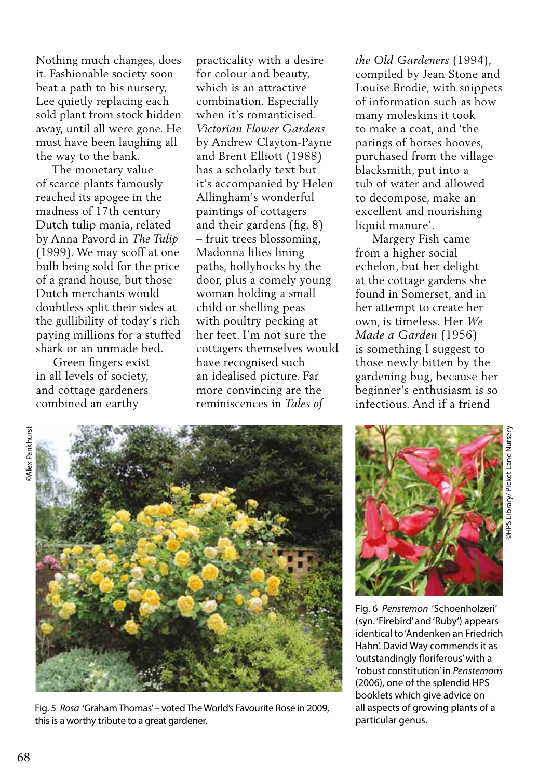Nothing much changes, does it. Fashionable society soon beat a path to his nursery, Lee quietly replacing each sold plant from stock hidden away, until all were gone. He must have been laughing all the way to the bank.

 The monetary value of scarce plants famously reached its apogee in the madness of 17th century Dutch tulip mania, related by Anna Pavord in *The Tulip*  (1999). We may scoff at one bulb being sold for the price of a grand house, but those Dutch merchants would doubtless split their sides at the gullibility of today's rich paying millions for a stuffed shark or an unmade bed.

 Green fingers exist in all levels of society, and cottage gardeners combined an earthy

practicality with a desire for colour and beauty, which is an attractive combination. Especially when it's romanticised. *Victorian Flower Gardens* by Andrew Clayton-Payne and Brent Elliott (1988) has a scholarly text but it's accompanied by Helen Allingham's wonderful paintings of cottagers and their gardens (fig. 8) – fruit trees blossoming, Madonna lilies lining paths, hollyhocks by the door, plus a comely young woman holding a small child or shelling peas with poultry pecking at her feet. I'm not sure the cottagers themselves would have recognised such an idealised picture. Far more convincing are the reminiscences in *Tales of* 

*the Old Gardeners* (1994), compiled by Jean Stone and Louise Brodie, with snippets of information such as how many moleskins it took to make a coat, and 'the parings of horses hooves, purchased from the village blacksmith, put into a tub of water and allowed to decompose, make an excellent and nourishing liquid manure'.

 Margery Fish came from a higher social echelon, but her delight at the cottage gardens she found in Somerset, and in her attempt to create her own, is timeless. Her *We Made a Garden* (1956) is something I suggest to those newly bitten by the gardening bug, because her beginner's enthusiasm is so infectious. And if a friend



Fig. 5 *Rosa* 'Graham Thomas' – voted The World's Favourite Rose in 2009, this is a worthy tribute to a great gardener.



Fig. 6 *Penstemon* 'Schoenholzeri' (syn. 'Firebird' and 'Ruby') appears identical to 'Andenken an Friedrich Hahn'. David Way commends it as 'outstandingly floriferous' with a 'robust constitution' in *Penstemons*  (2006), one of the splendid HPS booklets which give advice on all aspects of growing plants of a particular genus.